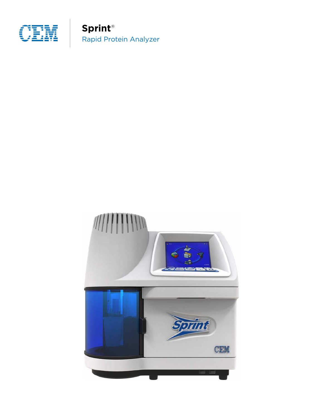

**Sprint**® Rapid Protein Analyzer

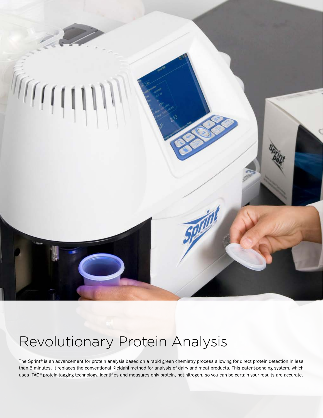

## Revolutionary Protein Analysis

The Sprint® is an advancement for protein analysis based on a rapid green chemistry process allowing for direct protein detection in less than 5 minutes. It replaces the conventional Kjeldahl method for analysis of dairy and meat products. This patent-pending system, which uses iTAG® protein-tagging technology, identifies and measures only protein, not nitrogen, so you can be certain your results are accurate.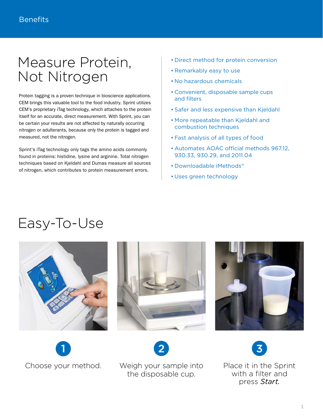## Measure Protein, Not Nitrogen

Protein tagging is a proven technique in bioscience applications. CEM brings this valuable tool to the food industry. Sprint utilizes CEM's proprietary iTag technology, which attaches to the protein itself for an accurate, direct measurement. With Sprint, you can be certain your results are not affected by naturally occurring nitrogen or adulterants, because only the protein is tagged and measured, not the nitrogen.

Sprint's iTag technology only tags the amino acids commonly found in proteins: histidine, lysine and arginine. Total nitrogen techniques based on Kjeldahl and Dumas measure all sources of nitrogen, which contributes to protein measurement errors.

- Direct method for protein conversion
- Remarkably easy to use
- No hazardous chemicals
- Convenient, disposable sample cups and filters
- Safer and less expensive than Kjeldahl
- More repeatable than Kjeldahl and combustion techniques
- Fast analysis of all types of food
- Automates AOAC official methods 967.12, 930.33, 930.29, and 2011.04
- Downloadable iMethods®
- Uses green technology

## Easy-To-Use











Choose your method. Weigh your sample into the disposable cup.

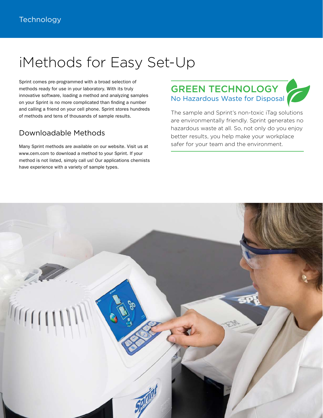## iMethods for Easy Set-Up

Sprint comes pre-programmed with a broad selection of methods ready for use in your laboratory. With its truly innovative software, loading a method and analyzing samples on your Sprint is no more complicated than finding a number and calling a friend on your cell phone. Sprint stores hundreds of methods and tens of thousands of sample results.

### Downloadable Methods

Many Sprint methods are available on our website. Visit us at www.cem.com to download a method to your Sprint. If your method is not listed, simply call us! Our applications chemists have experience with a variety of sample types.

### GREEN TECHNOLOGY No Hazardous Waste for Disposal

The sample and Sprint's non-toxic iTag solutions are environmentally friendly. Sprint generates no hazardous waste at all. So, not only do you enjoy better results, you help make your workplace safer for your team and the environment.

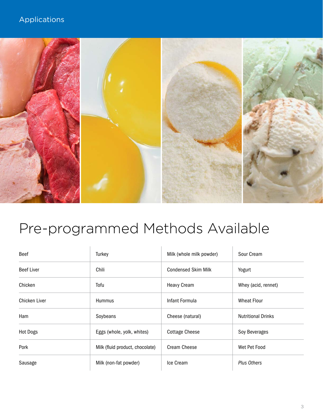## Applications



# Pre-programmed Methods Available

| <b>Beef</b>       | Turkey                          | Milk (whole milk powder)   | Sour Cream                |
|-------------------|---------------------------------|----------------------------|---------------------------|
| <b>Beef Liver</b> | Chili                           | <b>Condensed Skim Milk</b> | Yogurt                    |
| Chicken           | Tofu                            | <b>Heavy Cream</b>         | Whey (acid, rennet)       |
| Chicken Liver     | <b>Hummus</b>                   | Infant Formula             | <b>Wheat Flour</b>        |
| Ham               | Soybeans                        | Cheese (natural)           | <b>Nutritional Drinks</b> |
| <b>Hot Dogs</b>   | Eggs (whole, yolk, whites)      | <b>Cottage Cheese</b>      | Soy Beverages             |
| Pork              | Milk (fluid product, chocolate) | <b>Cream Cheese</b>        | Wet Pet Food              |
| Sausage           | Milk (non-fat powder)           | Ice Cream                  | <b>Plus Others</b>        |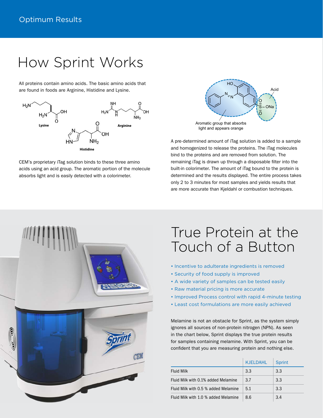## How Sprint Works

All proteins contain amino acids. The basic amino acids that are found in foods are Arginine, Histidine and Lysine.



CEM's proprietary iTag solution binds to these three amino acids using an acid group. The aromatic portion of the molecule absorbs light and is easily detected with a colorimeter.



A pre-determined amount of iTag solution is added to a sample and homogenized to release the proteins. The iTag molecules bind to the proteins and are removed from solution. The remaining iTag is drawn up through a disposable filter into the built-in colorimeter. The amount of iTag bound to the protein is determined and the results displayed. The entire process takes only 2 to 3 minutes for most samples and yields results that are more accurate than Kjeldahl or combustion techniques.



## True Protein at the Touch of a Button

- Incentive to adulterate ingredients is removed
- Security of food supply is improved
- A wide variety of samples can be tested easily
- Raw material pricing is more accurate
- Improved Process control with rapid 4-minute testing
- Least cost formulations are more easily achieved

Melamine is not an obstacle for Sprint, as the system simply ignores all sources of non-protein nitrogen (NPN). As seen in the chart below, Sprint displays the true protein results for samples containing melamine. With Sprint, you can be confident that you are measuring protein and nothing else.

|                                      | KJELDAHL | <b>Sprint</b> |
|--------------------------------------|----------|---------------|
| <b>Fluid Milk</b>                    | 3.3      | 3.3           |
| Fluid Milk with 0.1% added Melamine  | 3.7      | 3.3           |
| Fluid Milk with 0.5 % added Melamine | 5.1      | 3.3           |
| Fluid Milk with 1.0 % added Melamine | 86       | 3.4           |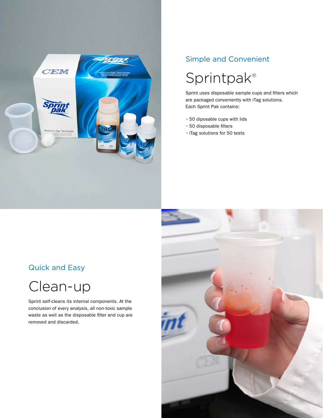

### Simple and Convenient

## Sprintpak®

Sprint uses disposable sample cups and filters which are packaged conveniently with iTag solutions. Each Sprint Pak contains:

- 50 diposable cups with lids
- 50 disposable filters
- iTag solutions for 50 tests

### Quick and Easy



Sprint self-cleans its internal components. At the conclusion of every analysis, all non-toxic sample waste as well as the disposable filter and cup are removed and discarded.